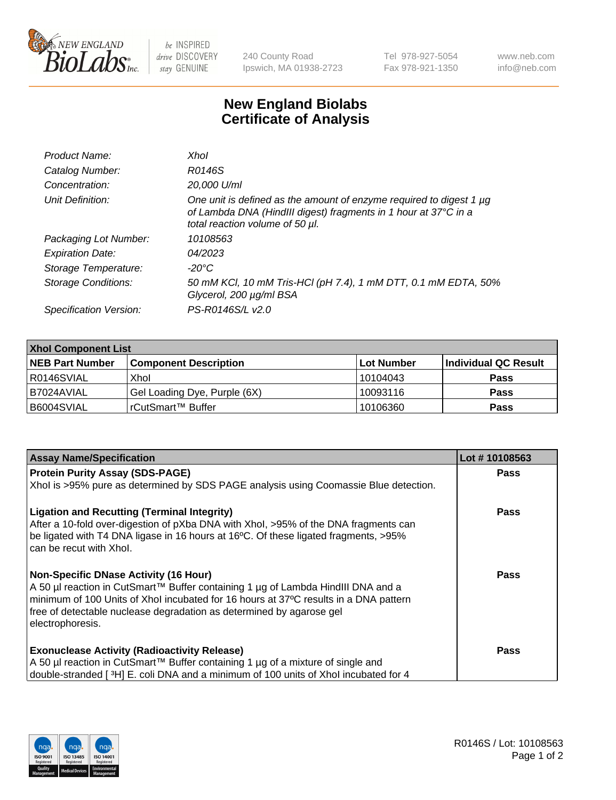

 $be$  INSPIRED drive DISCOVERY stay GENUINE

240 County Road Ipswich, MA 01938-2723 Tel 978-927-5054 Fax 978-921-1350 www.neb.com info@neb.com

## **New England Biolabs Certificate of Analysis**

| Product Name:              | Xhol                                                                                                                                                                      |
|----------------------------|---------------------------------------------------------------------------------------------------------------------------------------------------------------------------|
| Catalog Number:            | R0146S                                                                                                                                                                    |
| Concentration:             | 20,000 U/ml                                                                                                                                                               |
| Unit Definition:           | One unit is defined as the amount of enzyme required to digest 1 µg<br>of Lambda DNA (HindIII digest) fragments in 1 hour at 37°C in a<br>total reaction volume of 50 µl. |
| Packaging Lot Number:      | 10108563                                                                                                                                                                  |
| <b>Expiration Date:</b>    | 04/2023                                                                                                                                                                   |
| Storage Temperature:       | -20°C                                                                                                                                                                     |
| <b>Storage Conditions:</b> | 50 mM KCl, 10 mM Tris-HCl (pH 7.4), 1 mM DTT, 0.1 mM EDTA, 50%<br>Glycerol, 200 µg/ml BSA                                                                                 |
| Specification Version:     | PS-R0146S/L v2.0                                                                                                                                                          |

| <b>Xhol Component List</b> |                              |            |                      |  |  |
|----------------------------|------------------------------|------------|----------------------|--|--|
| <b>NEB Part Number</b>     | <b>Component Description</b> | Lot Number | Individual QC Result |  |  |
| I R0146SVIAL               | Xhol                         | 10104043   | <b>Pass</b>          |  |  |
| I B7024AVIAL               | Gel Loading Dye, Purple (6X) | 10093116   | <b>Pass</b>          |  |  |
| B6004SVIAL                 | rCutSmart™ Buffer            | 10106360   | <b>Pass</b>          |  |  |

| <b>Assay Name/Specification</b>                                                                                                                                                                                                                                                                                      | Lot #10108563 |
|----------------------------------------------------------------------------------------------------------------------------------------------------------------------------------------------------------------------------------------------------------------------------------------------------------------------|---------------|
| <b>Protein Purity Assay (SDS-PAGE)</b>                                                                                                                                                                                                                                                                               | <b>Pass</b>   |
| Xhol is >95% pure as determined by SDS PAGE analysis using Coomassie Blue detection.                                                                                                                                                                                                                                 |               |
| <b>Ligation and Recutting (Terminal Integrity)</b><br>After a 10-fold over-digestion of pXba DNA with Xhol, >95% of the DNA fragments can<br>be ligated with T4 DNA ligase in 16 hours at 16°C. Of these ligated fragments, >95%<br>can be recut with Xhol.                                                          | Pass          |
| <b>Non-Specific DNase Activity (16 Hour)</b><br>A 50 µl reaction in CutSmart™ Buffer containing 1 µg of Lambda HindIII DNA and a<br>minimum of 100 Units of Xhol incubated for 16 hours at 37°C results in a DNA pattern<br>free of detectable nuclease degradation as determined by agarose gel<br>electrophoresis. | Pass          |
| <b>Exonuclease Activity (Radioactivity Release)</b><br>A 50 µl reaction in CutSmart™ Buffer containing 1 µg of a mixture of single and<br>double-stranded [3H] E. coli DNA and a minimum of 100 units of Xhol incubated for 4                                                                                        | Pass          |